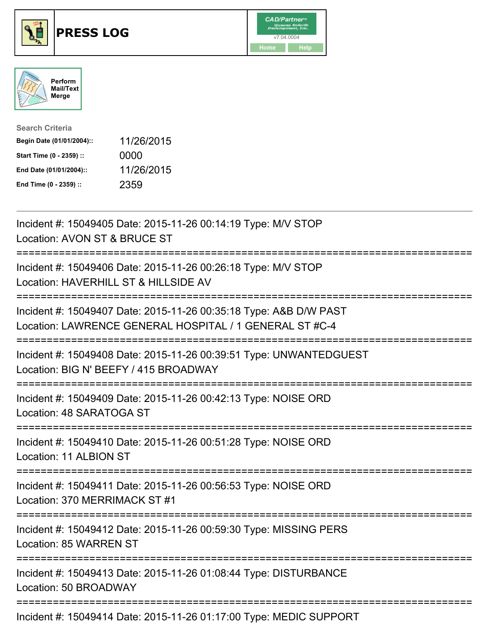

## **PRESS LOG** v7.04.0004





| <b>Search Criteria</b>    |            |
|---------------------------|------------|
| Begin Date (01/01/2004):: | 11/26/2015 |
| Start Time (0 - 2359) ::  | 0000       |
| End Date (01/01/2004)::   | 11/26/2015 |
| End Time (0 - 2359) ::    | 2359       |

Incident #: 15049405 Date: 2015-11-26 00:14:19 Type: M/V STOP Location: AVON ST & BRUCE ST =========================================================================== Incident #: 15049406 Date: 2015-11-26 00:26:18 Type: M/V STOP Location: HAVERHILL ST & HILLSIDE AV =========================================================================== Incident #: 15049407 Date: 2015-11-26 00:35:18 Type: A&B D/W PAST Location: LAWRENCE GENERAL HOSPITAL / 1 GENERAL ST #C-4 =========================================================================== Incident #: 15049408 Date: 2015-11-26 00:39:51 Type: UNWANTEDGUEST Location: BIG N' BEEFY / 415 BROADWAY =========================================================================== Incident #: 15049409 Date: 2015-11-26 00:42:13 Type: NOISE ORD Location: 48 SARATOGA ST =========================================================================== Incident #: 15049410 Date: 2015-11-26 00:51:28 Type: NOISE ORD Location: 11 ALBION ST =========================================================================== Incident #: 15049411 Date: 2015-11-26 00:56:53 Type: NOISE ORD Location: 370 MERRIMACK ST #1 =========================================================================== Incident #: 15049412 Date: 2015-11-26 00:59:30 Type: MISSING PERS Location: 85 WARREN ST =========================================================================== Incident #: 15049413 Date: 2015-11-26 01:08:44 Type: DISTURBANCE Location: 50 BROADWAY =========================================================================== Incident #: 15049414 Date: 2015-11-26 01:17:00 Type: MEDIC SUPPORT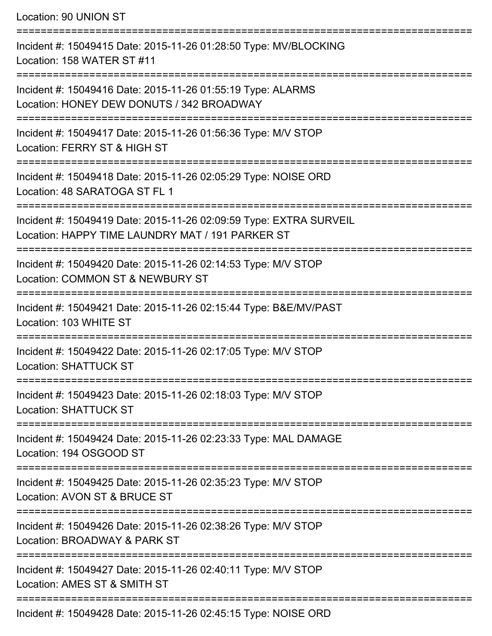Location: 90 UNION ST =========================================================================== Incident #: 15049415 Date: 2015-11-26 01:28:50 Type: MV/BLOCKING Location: 158 WATER ST #11 =========================================================================== Incident #: 15049416 Date: 2015-11-26 01:55:19 Type: ALARMS Location: HONEY DEW DONUTS / 342 BROADWAY =========================================================================== Incident #: 15049417 Date: 2015-11-26 01:56:36 Type: M/V STOP Location: FERRY ST & HIGH ST =========================================================================== Incident #: 15049418 Date: 2015-11-26 02:05:29 Type: NOISE ORD Location: 48 SARATOGA ST FL 1 =========================================================================== Incident #: 15049419 Date: 2015-11-26 02:09:59 Type: EXTRA SURVEIL Location: HAPPY TIME LAUNDRY MAT / 191 PARKER ST =========================================================================== Incident #: 15049420 Date: 2015-11-26 02:14:53 Type: M/V STOP Location: COMMON ST & NEWBURY ST =========================================================================== Incident #: 15049421 Date: 2015-11-26 02:15:44 Type: B&E/MV/PAST Location: 103 WHITE ST =========================================================================== Incident #: 15049422 Date: 2015-11-26 02:17:05 Type: M/V STOP Location: SHATTUCK ST =========================================================================== Incident #: 15049423 Date: 2015-11-26 02:18:03 Type: M/V STOP Location: SHATTUCK ST =========================================================================== Incident #: 15049424 Date: 2015-11-26 02:23:33 Type: MAL DAMAGE Location: 194 OSGOOD ST =========================================================================== Incident #: 15049425 Date: 2015-11-26 02:35:23 Type: M/V STOP Location: AVON ST & BRUCE ST =========================================================================== Incident #: 15049426 Date: 2015-11-26 02:38:26 Type: M/V STOP Location: BROADWAY & PARK ST =========================================================================== Incident #: 15049427 Date: 2015-11-26 02:40:11 Type: M/V STOP Location: AMES ST & SMITH ST ===========================================================================

Incident #: 15049428 Date: 2015-11-26 02:45:15 Type: NOISE ORD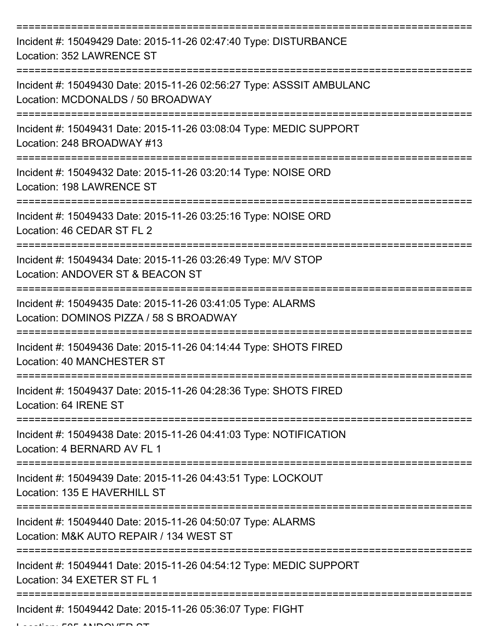| Incident #: 15049429 Date: 2015-11-26 02:47:40 Type: DISTURBANCE<br>Location: 352 LAWRENCE ST             |
|-----------------------------------------------------------------------------------------------------------|
| Incident #: 15049430 Date: 2015-11-26 02:56:27 Type: ASSSIT AMBULANC<br>Location: MCDONALDS / 50 BROADWAY |
| Incident #: 15049431 Date: 2015-11-26 03:08:04 Type: MEDIC SUPPORT<br>Location: 248 BROADWAY #13          |
| Incident #: 15049432 Date: 2015-11-26 03:20:14 Type: NOISE ORD<br>Location: 198 LAWRENCE ST               |
| Incident #: 15049433 Date: 2015-11-26 03:25:16 Type: NOISE ORD<br>Location: 46 CEDAR ST FL 2              |
| Incident #: 15049434 Date: 2015-11-26 03:26:49 Type: M/V STOP<br>Location: ANDOVER ST & BEACON ST         |
| Incident #: 15049435 Date: 2015-11-26 03:41:05 Type: ALARMS<br>Location: DOMINOS PIZZA / 58 S BROADWAY    |
| Incident #: 15049436 Date: 2015-11-26 04:14:44 Type: SHOTS FIRED<br>Location: 40 MANCHESTER ST            |
| Incident #: 15049437 Date: 2015-11-26 04:28:36 Type: SHOTS FIRED<br>Location: 64 IRENE ST                 |
| Incident #: 15049438 Date: 2015-11-26 04:41:03 Type: NOTIFICATION<br>Location: 4 BERNARD AV FL 1          |
| Incident #: 15049439 Date: 2015-11-26 04:43:51 Type: LOCKOUT<br>Location: 135 E HAVERHILL ST              |
| Incident #: 15049440 Date: 2015-11-26 04:50:07 Type: ALARMS<br>Location: M&K AUTO REPAIR / 134 WEST ST    |
| Incident #: 15049441 Date: 2015-11-26 04:54:12 Type: MEDIC SUPPORT<br>Location: 34 EXETER ST FL 1         |
| Incident #: 15049442 Date: 2015-11-26 05:36:07 Type: FIGHT                                                |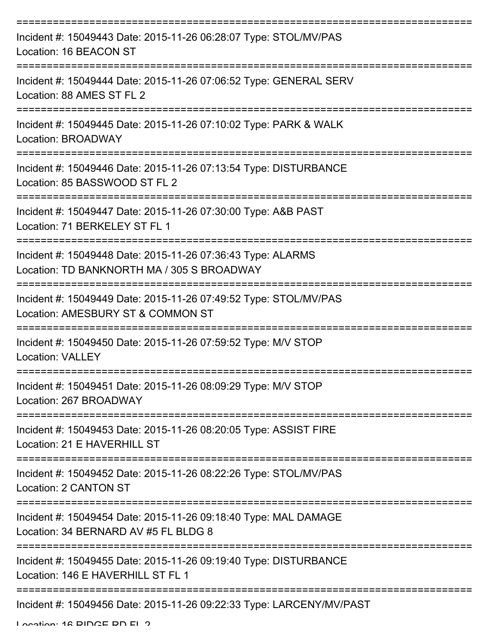| Incident #: 15049443 Date: 2015-11-26 06:28:07 Type: STOL/MV/PAS<br>Location: 16 BEACON ST                |
|-----------------------------------------------------------------------------------------------------------|
| Incident #: 15049444 Date: 2015-11-26 07:06:52 Type: GENERAL SERV<br>Location: 88 AMES ST FL 2            |
| Incident #: 15049445 Date: 2015-11-26 07:10:02 Type: PARK & WALK<br><b>Location: BROADWAY</b>             |
| Incident #: 15049446 Date: 2015-11-26 07:13:54 Type: DISTURBANCE<br>Location: 85 BASSWOOD ST FL 2         |
| Incident #: 15049447 Date: 2015-11-26 07:30:00 Type: A&B PAST<br>Location: 71 BERKELEY ST FL 1            |
| Incident #: 15049448 Date: 2015-11-26 07:36:43 Type: ALARMS<br>Location: TD BANKNORTH MA / 305 S BROADWAY |
| Incident #: 15049449 Date: 2015-11-26 07:49:52 Type: STOL/MV/PAS<br>Location: AMESBURY ST & COMMON ST     |
| Incident #: 15049450 Date: 2015-11-26 07:59:52 Type: M/V STOP<br><b>Location: VALLEY</b>                  |
| Incident #: 15049451 Date: 2015-11-26 08:09:29 Type: M/V STOP<br>Location: 267 BROADWAY                   |
| Incident #: 15049453 Date: 2015-11-26 08:20:05 Type: ASSIST FIRE<br>Location: 21 E HAVERHILL ST           |
| Incident #: 15049452 Date: 2015-11-26 08:22:26 Type: STOL/MV/PAS<br>Location: 2 CANTON ST                 |
| Incident #: 15049454 Date: 2015-11-26 09:18:40 Type: MAL DAMAGE<br>Location: 34 BERNARD AV #5 FL BLDG 8   |
| Incident #: 15049455 Date: 2015-11-26 09:19:40 Type: DISTURBANCE<br>Location: 146 E HAVERHILL ST FL 1     |
| Incident #: 15049456 Date: 2015-11-26 09:22:33 Type: LARCENY/MV/PAST                                      |

Location: 16 DIDGE DD EL 2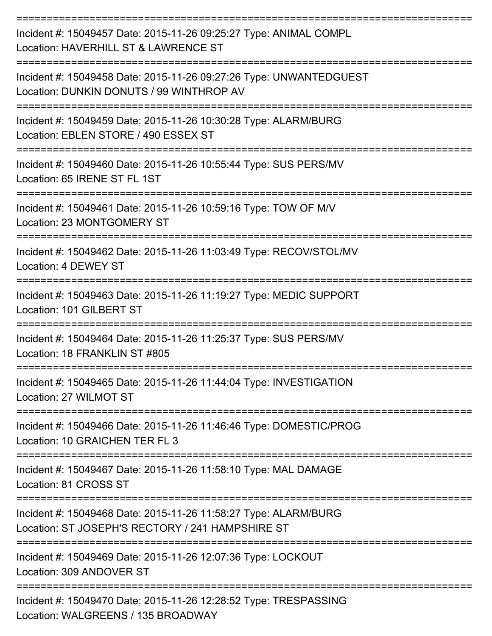| Incident #: 15049457 Date: 2015-11-26 09:25:27 Type: ANIMAL COMPL<br>Location: HAVERHILL ST & LAWRENCE ST                                                                                                                                                                                                                                                                                                                                                                                                                                     |
|-----------------------------------------------------------------------------------------------------------------------------------------------------------------------------------------------------------------------------------------------------------------------------------------------------------------------------------------------------------------------------------------------------------------------------------------------------------------------------------------------------------------------------------------------|
| Incident #: 15049458 Date: 2015-11-26 09:27:26 Type: UNWANTEDGUEST<br>Location: DUNKIN DONUTS / 99 WINTHROP AV                                                                                                                                                                                                                                                                                                                                                                                                                                |
| Incident #: 15049459 Date: 2015-11-26 10:30:28 Type: ALARM/BURG<br>Location: EBLEN STORE / 490 ESSEX ST                                                                                                                                                                                                                                                                                                                                                                                                                                       |
| Incident #: 15049460 Date: 2015-11-26 10:55:44 Type: SUS PERS/MV<br>Location: 65 IRENE ST FL 1ST                                                                                                                                                                                                                                                                                                                                                                                                                                              |
| Incident #: 15049461 Date: 2015-11-26 10:59:16 Type: TOW OF M/V<br>Location: 23 MONTGOMERY ST                                                                                                                                                                                                                                                                                                                                                                                                                                                 |
| Incident #: 15049462 Date: 2015-11-26 11:03:49 Type: RECOV/STOL/MV<br>Location: 4 DEWEY ST                                                                                                                                                                                                                                                                                                                                                                                                                                                    |
| Incident #: 15049463 Date: 2015-11-26 11:19:27 Type: MEDIC SUPPORT<br>Location: 101 GILBERT ST                                                                                                                                                                                                                                                                                                                                                                                                                                                |
| Incident #: 15049464 Date: 2015-11-26 11:25:37 Type: SUS PERS/MV<br>Location: 18 FRANKLIN ST #805                                                                                                                                                                                                                                                                                                                                                                                                                                             |
| :===================<br>Incident #: 15049465 Date: 2015-11-26 11:44:04 Type: INVESTIGATION<br>Location: 27 WILMOT ST                                                                                                                                                                                                                                                                                                                                                                                                                          |
| ==================<br>Incident #: 15049466 Date: 2015-11-26 11:46:46 Type: DOMESTIC/PROG<br>Location: 10 GRAICHEN TER FL 3                                                                                                                                                                                                                                                                                                                                                                                                                    |
| Incident #: 15049467 Date: 2015-11-26 11:58:10 Type: MAL DAMAGE<br>Location: 81 CROSS ST                                                                                                                                                                                                                                                                                                                                                                                                                                                      |
| Incident #: 15049468 Date: 2015-11-26 11:58:27 Type: ALARM/BURG<br>Location: ST JOSEPH'S RECTORY / 241 HAMPSHIRE ST                                                                                                                                                                                                                                                                                                                                                                                                                           |
| Incident #: 15049469 Date: 2015-11-26 12:07:36 Type: LOCKOUT<br>Location: 309 ANDOVER ST                                                                                                                                                                                                                                                                                                                                                                                                                                                      |
| Incident #: 15049470 Date: 2015-11-26 12:28:52 Type: TRESPASSING<br>$\cdot$ $\overline{\phantom{a}}$ $\overline{\phantom{a}}$ $\overline{\phantom{a}}$ $\overline{\phantom{a}}$ $\overline{\phantom{a}}$ $\overline{\phantom{a}}$ $\overline{\phantom{a}}$ $\overline{\phantom{a}}$ $\overline{\phantom{a}}$ $\overline{\phantom{a}}$ $\overline{\phantom{a}}$ $\overline{\phantom{a}}$ $\overline{\phantom{a}}$ $\overline{\phantom{a}}$ $\overline{\phantom{a}}$ $\overline{\phantom{a}}$ $\overline{\phantom{a}}$ $\overline{\phantom{a}}$ |

Location: WALGREENS / 135 BROADWAY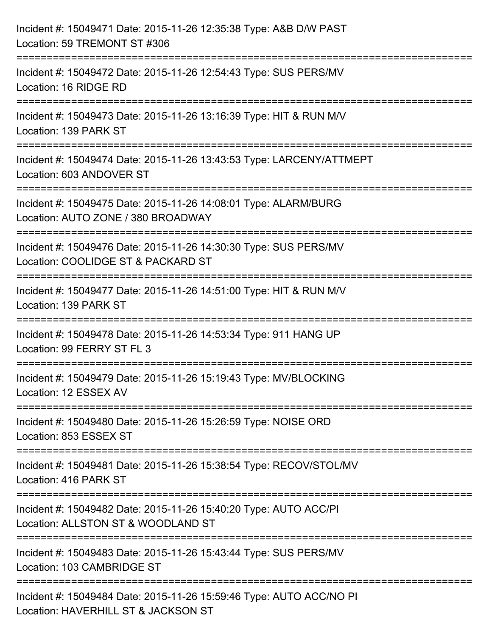| Incident #: 15049471 Date: 2015-11-26 12:35:38 Type: A&B D/W PAST<br>Location: 59 TREMONT ST #306                                          |
|--------------------------------------------------------------------------------------------------------------------------------------------|
| :===================================<br>Incident #: 15049472 Date: 2015-11-26 12:54:43 Type: SUS PERS/MV<br>Location: 16 RIDGE RD          |
| Incident #: 15049473 Date: 2015-11-26 13:16:39 Type: HIT & RUN M/V<br>Location: 139 PARK ST                                                |
| Incident #: 15049474 Date: 2015-11-26 13:43:53 Type: LARCENY/ATTMEPT<br>Location: 603 ANDOVER ST<br>-------------------------------------- |
| Incident #: 15049475 Date: 2015-11-26 14:08:01 Type: ALARM/BURG<br>Location: AUTO ZONE / 380 BROADWAY                                      |
| Incident #: 15049476 Date: 2015-11-26 14:30:30 Type: SUS PERS/MV<br>Location: COOLIDGE ST & PACKARD ST                                     |
| :=====================================<br>Incident #: 15049477 Date: 2015-11-26 14:51:00 Type: HIT & RUN M/V<br>Location: 139 PARK ST      |
| Incident #: 15049478 Date: 2015-11-26 14:53:34 Type: 911 HANG UP<br>Location: 99 FERRY ST FL 3                                             |
| Incident #: 15049479 Date: 2015-11-26 15:19:43 Type: MV/BLOCKING<br>Location: 12 ESSEX AV                                                  |
| Incident #: 15049480 Date: 2015-11-26 15:26:59 Type: NOISE ORD<br>Location: 853 ESSEX ST                                                   |
| Incident #: 15049481 Date: 2015-11-26 15:38:54 Type: RECOV/STOL/MV<br>Location: 416 PARK ST                                                |
| Incident #: 15049482 Date: 2015-11-26 15:40:20 Type: AUTO ACC/PI<br>Location: ALLSTON ST & WOODLAND ST                                     |
| Incident #: 15049483 Date: 2015-11-26 15:43:44 Type: SUS PERS/MV<br>Location: 103 CAMBRIDGE ST                                             |
| Incident #: 15049484 Date: 2015-11-26 15:59:46 Type: AUTO ACC/NO PI<br>Location: HAVERHILL ST & JACKSON ST                                 |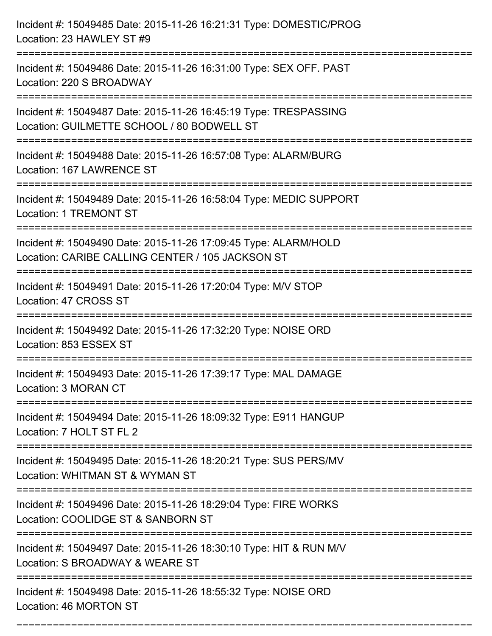| Incident #: 15049485 Date: 2015-11-26 16:21:31 Type: DOMESTIC/PROG<br>Location: 23 HAWLEY ST #9                     |
|---------------------------------------------------------------------------------------------------------------------|
| Incident #: 15049486 Date: 2015-11-26 16:31:00 Type: SEX OFF. PAST<br>Location: 220 S BROADWAY                      |
| Incident #: 15049487 Date: 2015-11-26 16:45:19 Type: TRESPASSING<br>Location: GUILMETTE SCHOOL / 80 BODWELL ST      |
| Incident #: 15049488 Date: 2015-11-26 16:57:08 Type: ALARM/BURG<br>Location: 167 LAWRENCE ST                        |
| Incident #: 15049489 Date: 2015-11-26 16:58:04 Type: MEDIC SUPPORT<br>Location: 1 TREMONT ST                        |
| Incident #: 15049490 Date: 2015-11-26 17:09:45 Type: ALARM/HOLD<br>Location: CARIBE CALLING CENTER / 105 JACKSON ST |
| Incident #: 15049491 Date: 2015-11-26 17:20:04 Type: M/V STOP<br>Location: 47 CROSS ST                              |
| Incident #: 15049492 Date: 2015-11-26 17:32:20 Type: NOISE ORD<br>Location: 853 ESSEX ST                            |
| Incident #: 15049493 Date: 2015-11-26 17:39:17 Type: MAL DAMAGE<br>Location: 3 MORAN CT                             |
| Incident #: 15049494 Date: 2015-11-26 18:09:32 Type: E911 HANGUP<br>Location: 7 HOLT ST FL 2                        |
| Incident #: 15049495 Date: 2015-11-26 18:20:21 Type: SUS PERS/MV<br>Location: WHITMAN ST & WYMAN ST                 |
| Incident #: 15049496 Date: 2015-11-26 18:29:04 Type: FIRE WORKS<br>Location: COOLIDGE ST & SANBORN ST               |
| Incident #: 15049497 Date: 2015-11-26 18:30:10 Type: HIT & RUN M/V<br>Location: S BROADWAY & WEARE ST               |
| Incident #: 15049498 Date: 2015-11-26 18:55:32 Type: NOISE ORD<br>Location: 46 MORTON ST                            |

===========================================================================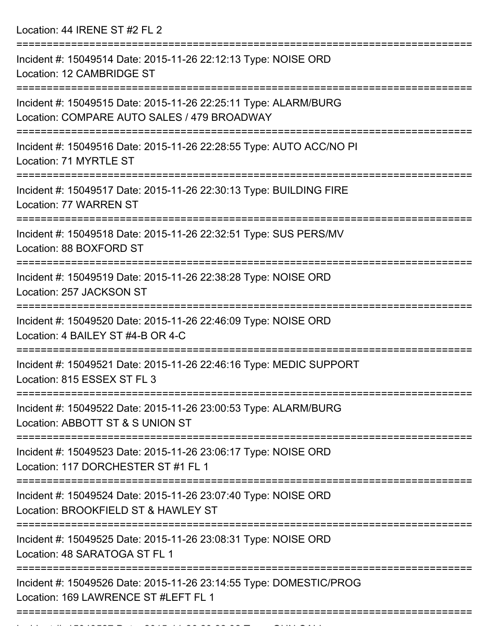Location: 44 IRENE ST #2 FL 2

| Incident #: 15049514 Date: 2015-11-26 22:12:13 Type: NOISE ORD<br>Location: 12 CAMBRIDGE ST                    |
|----------------------------------------------------------------------------------------------------------------|
| Incident #: 15049515 Date: 2015-11-26 22:25:11 Type: ALARM/BURG<br>Location: COMPARE AUTO SALES / 479 BROADWAY |
| Incident #: 15049516 Date: 2015-11-26 22:28:55 Type: AUTO ACC/NO PI<br>Location: 71 MYRTLE ST                  |
| Incident #: 15049517 Date: 2015-11-26 22:30:13 Type: BUILDING FIRE<br>Location: 77 WARREN ST                   |
| Incident #: 15049518 Date: 2015-11-26 22:32:51 Type: SUS PERS/MV<br>Location: 88 BOXFORD ST                    |
| Incident #: 15049519 Date: 2015-11-26 22:38:28 Type: NOISE ORD<br>Location: 257 JACKSON ST                     |
| Incident #: 15049520 Date: 2015-11-26 22:46:09 Type: NOISE ORD<br>Location: 4 BAILEY ST #4-B OR 4-C            |
| Incident #: 15049521 Date: 2015-11-26 22:46:16 Type: MEDIC SUPPORT<br>Location: 815 ESSEX ST FL 3              |
| Incident #: 15049522 Date: 2015-11-26 23:00:53 Type: ALARM/BURG<br>Location: ABBOTT ST & S UNION ST            |
| Incident #: 15049523 Date: 2015-11-26 23:06:17 Type: NOISE ORD<br>Location: 117 DORCHESTER ST #1 FL 1          |
| Incident #: 15049524 Date: 2015-11-26 23:07:40 Type: NOISE ORD<br>Location: BROOKFIELD ST & HAWLEY ST          |
| Incident #: 15049525 Date: 2015-11-26 23:08:31 Type: NOISE ORD<br>Location: 48 SARATOGA ST FL 1                |
| Incident #: 15049526 Date: 2015-11-26 23:14:55 Type: DOMESTIC/PROG<br>Location: 169 LAWRENCE ST #LEFT FL 1     |
|                                                                                                                |